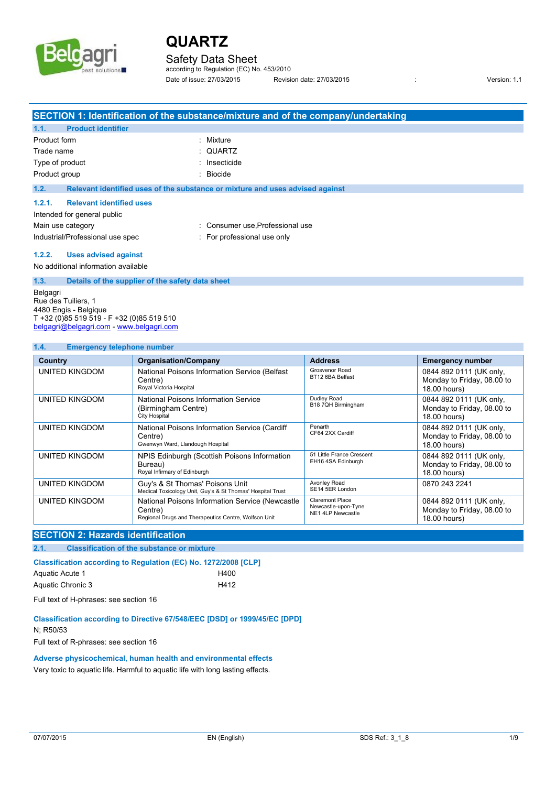

### Safety Data Sheet

according to Regulation (EC) No. 453/2010 Date of issue: 27/03/2015 Revision date: 27/03/2015 : Version: 1.1

|                                           | SECTION 1: Identification of the substance/mixture and of the company/undertaking |
|-------------------------------------------|-----------------------------------------------------------------------------------|
| 1.1.<br><b>Product identifier</b>         |                                                                                   |
| Product form                              | : Mixture                                                                         |
| Trade name                                | $:$ QUARTZ                                                                        |
| Type of product                           | : Insecticide                                                                     |
| Product group                             | Biocide                                                                           |
| 1.2.                                      | Relevant identified uses of the substance or mixture and uses advised against     |
| <b>Relevant identified uses</b><br>1.2.1. |                                                                                   |
| Intended for general public               |                                                                                   |
| Main use category                         | : Consumer use Professional use                                                   |
| Industrial/Professional use spec          | : For professional use only                                                       |
|                                           |                                                                                   |

#### **1.2.2. Uses advised against**

No additional information available

#### **1.3. Details of the supplier of the safety data sheet**

Belgagri Rue des Tuiliers, 1 4480 Engis - Belgique T +32 (0)85 519 519 - F +32 (0)85 519 510 [belgagri@belgagri.com](mailto:belgagri@belgagri.com) - <www.belgagri.com>

#### **1.4. Emergency telephone number**

| Country        | <b>Organisation/Company</b>                                                                                        | <b>Address</b>                                                     | <b>Emergency number</b>                                               |
|----------------|--------------------------------------------------------------------------------------------------------------------|--------------------------------------------------------------------|-----------------------------------------------------------------------|
| UNITED KINGDOM | National Poisons Information Service (Belfast<br>Centre)<br>Royal Victoria Hospital                                | Grosvenor Road<br>BT12 6BA Belfast                                 | 0844 892 0111 (UK only,<br>Monday to Friday, 08.00 to<br>18.00 hours) |
| UNITED KINGDOM | National Poisons Information Service<br>(Birmingham Centre)<br>City Hospital                                       | Dudley Road<br>B18 7QH Birmingham                                  | 0844 892 0111 (UK only,<br>Monday to Friday, 08.00 to<br>18.00 hours) |
| UNITED KINGDOM | National Poisons Information Service (Cardiff<br>Centre)<br>Gwenwyn Ward, Llandough Hospital                       | Penarth<br>CF64 2XX Cardiff                                        | 0844 892 0111 (UK only,<br>Monday to Friday, 08.00 to<br>18.00 hours) |
| UNITED KINGDOM | NPIS Edinburgh (Scottish Poisons Information<br>Bureau)<br>Royal Infirmary of Edinburgh                            | 51 Little France Crescent<br>EH16 4SA Edinburgh                    | 0844 892 0111 (UK only,<br>Monday to Friday, 08.00 to<br>18.00 hours) |
| UNITED KINGDOM | Guy's & St Thomas' Poisons Unit<br>Medical Toxicology Unit, Guy's & St Thomas' Hospital Trust                      | Avonley Road<br>SE14 5ER London                                    | 0870 243 2241                                                         |
| UNITED KINGDOM | National Poisons Information Service (Newcastle<br>Centre)<br>Regional Drugs and Therapeutics Centre, Wolfson Unit | <b>Claremont Place</b><br>Newcastle-upon-Tyne<br>NE1 4LP Newcastle | 0844 892 0111 (UK only,<br>Monday to Friday, 08.00 to<br>18.00 hours) |

### **SECTION 2: Hazards identification**

**2.1. Classification of the substance or mixture**

### Classification according to Regulation (EC) No. 1272/2008 [CLP]

| Aquatic Acute 1   | H400 |
|-------------------|------|
| Aquatic Chronic 3 | H412 |

Full text of H-phrases: see section 16

#### **Classification according to Directive 67/548/EEC [DSD] or 1999/45/EC [DPD]**

N; R50/53

Full text of R-phrases: see section 16

### **Adverse physicochemical, human health and environmental effects**

Very toxic to aquatic life. Harmful to aquatic life with long lasting effects.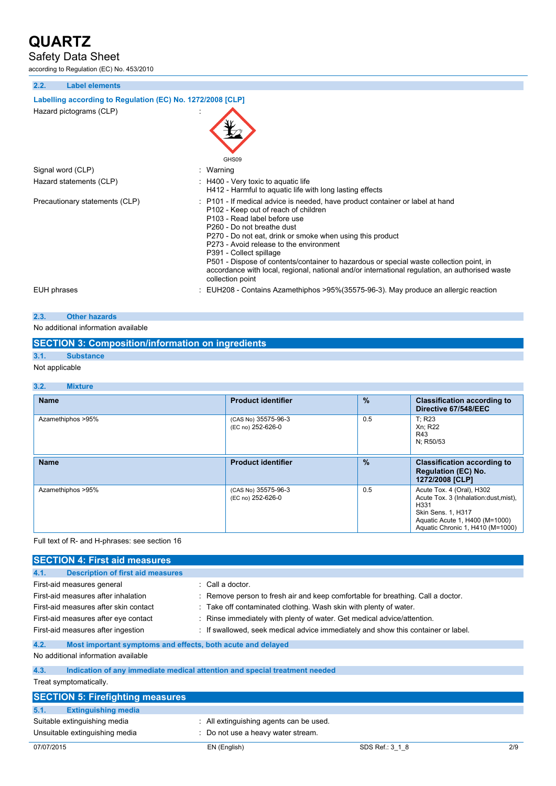## Safety Data Sheet

according to Regulation (EC) No. 453/2010

| 2.2.        | <b>Label elements</b>                                      |                                                                                                                                                                                                                                                                                                                                                                                                                                                                                                                                         |  |
|-------------|------------------------------------------------------------|-----------------------------------------------------------------------------------------------------------------------------------------------------------------------------------------------------------------------------------------------------------------------------------------------------------------------------------------------------------------------------------------------------------------------------------------------------------------------------------------------------------------------------------------|--|
|             | Labelling according to Regulation (EC) No. 1272/2008 [CLP] |                                                                                                                                                                                                                                                                                                                                                                                                                                                                                                                                         |  |
|             | Hazard pictograms (CLP)                                    | GHS09                                                                                                                                                                                                                                                                                                                                                                                                                                                                                                                                   |  |
|             | Signal word (CLP)                                          | Warning                                                                                                                                                                                                                                                                                                                                                                                                                                                                                                                                 |  |
|             | Hazard statements (CLP)                                    | $\pm$ H400 - Very toxic to aquatic life<br>H412 - Harmful to aquatic life with long lasting effects                                                                                                                                                                                                                                                                                                                                                                                                                                     |  |
|             | Precautionary statements (CLP)                             | : P101 - If medical advice is needed, have product container or label at hand<br>P102 - Keep out of reach of children<br>P103 - Read label before use<br>P260 - Do not breathe dust<br>P270 - Do not eat, drink or smoke when using this product<br>P273 - Avoid release to the environment<br>P391 - Collect spillage<br>P501 - Dispose of contents/container to hazardous or special waste collection point, in<br>accordance with local, regional, national and/or international regulation, an authorised waste<br>collection point |  |
| EUH phrases |                                                            | EUH208 - Contains Azamethiphos >95%(35575-96-3). May produce an allergic reaction                                                                                                                                                                                                                                                                                                                                                                                                                                                       |  |

### **2.3. Other hazards**

No additional information available

## **SECTION 3: Composition/information on ingredients**

# **3.1. Substance**

Not applicable

#### **3.2. Mixture Name Product identifier % Classification according to Directive 67/548/EEC** Azamethiphos >95% (CAS No) 35575-96-3 (EC no) 252-626-0 0.5 | T; R23 Xn; R22 R43 N; R50/53 **Rame Product identifier 1986 2006 2006 2006 2006 2006 2006 2006 2006 2006 2006 2006 2006 2006 2006 2006 2006 2006 2006 2006 2006 2006 2006 2006 2006 2006 2006 2006 Regulation (EC) No. 1272/2008 [CLP]** Azamethiphos >95% (CAS No) 35575-96-3 (EC no) 252-626-0 0.5 **Acute Tox. 4 (Oral), H302** Acute Tox. 3 (Inhalation:dust,mist), H331 Skin Sens. 1, H317 Aquatic Acute 1, H400 (M=1000) Aquatic Chronic 1, H410 (M=1000)

#### Full text of R- and H-phrases: see section 16

| <b>SECTION 4: First aid measures</b>                                |                                                                            |                                                                                   |     |
|---------------------------------------------------------------------|----------------------------------------------------------------------------|-----------------------------------------------------------------------------------|-----|
| <b>Description of first aid measures</b><br>4.1.                    |                                                                            |                                                                                   |     |
| First-aid measures general                                          | $\therefore$ Call a doctor.                                                |                                                                                   |     |
| First-aid measures after inhalation                                 |                                                                            | : Remove person to fresh air and keep comfortable for breathing. Call a doctor.   |     |
| First-aid measures after skin contact                               | : Take off contaminated clothing. Wash skin with plenty of water.          |                                                                                   |     |
| First-aid measures after eye contact                                |                                                                            | : Rinse immediately with plenty of water. Get medical advice/attention.           |     |
| First-aid measures after ingestion                                  |                                                                            | : If swallowed, seek medical advice immediately and show this container or label. |     |
| 4.2.<br>Most important symptoms and effects, both acute and delayed |                                                                            |                                                                                   |     |
| No additional information available                                 |                                                                            |                                                                                   |     |
| 4.3.                                                                | Indication of any immediate medical attention and special treatment needed |                                                                                   |     |
| Treat symptomatically.                                              |                                                                            |                                                                                   |     |
| <b>SECTION 5: Firefighting measures</b>                             |                                                                            |                                                                                   |     |
| 5.1.<br><b>Extinguishing media</b>                                  |                                                                            |                                                                                   |     |
| Suitable extinguishing media                                        | : All extinguishing agents can be used.                                    |                                                                                   |     |
| Unsuitable extinguishing media                                      | : Do not use a heavy water stream.                                         |                                                                                   |     |
| 07/07/2015                                                          | EN (English)                                                               | SDS Ref.: 3 1 8                                                                   | 2/9 |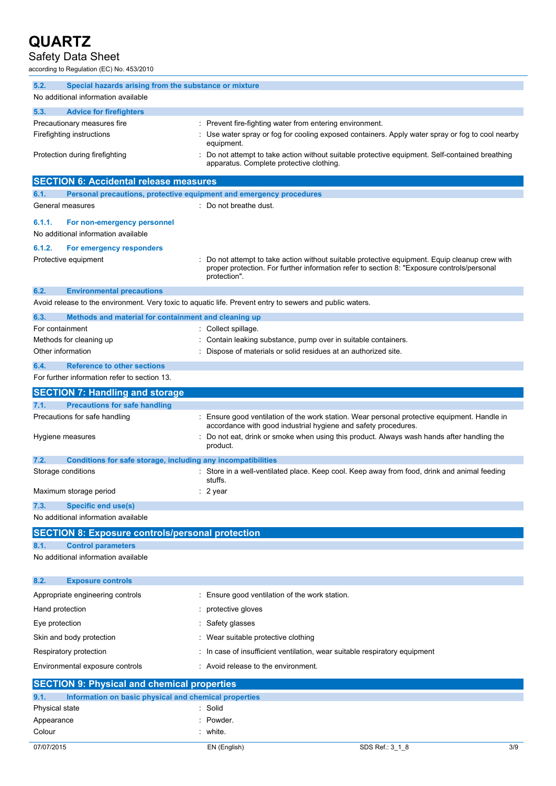# Safety Data Sheet

according to Regulation (EC) No. 453/2010

| 5.2.<br>Special hazards arising from the substance or mixture               |                                                                                                                                                                                                            |
|-----------------------------------------------------------------------------|------------------------------------------------------------------------------------------------------------------------------------------------------------------------------------------------------------|
| No additional information available                                         |                                                                                                                                                                                                            |
| 5.3.<br><b>Advice for firefighters</b>                                      |                                                                                                                                                                                                            |
| Precautionary measures fire                                                 | : Prevent fire-fighting water from entering environment.                                                                                                                                                   |
| Firefighting instructions                                                   | Use water spray or fog for cooling exposed containers. Apply water spray or fog to cool nearby<br>equipment.                                                                                               |
| Protection during firefighting                                              | Do not attempt to take action without suitable protective equipment. Self-contained breathing<br>apparatus. Complete protective clothing.                                                                  |
| <b>SECTION 6: Accidental release measures</b>                               |                                                                                                                                                                                                            |
| Personal precautions, protective equipment and emergency procedures<br>6.1. |                                                                                                                                                                                                            |
| General measures                                                            | : Do not breathe dust.                                                                                                                                                                                     |
| 6.1.1.<br>For non-emergency personnel                                       |                                                                                                                                                                                                            |
| No additional information available                                         |                                                                                                                                                                                                            |
| 6.1.2.<br>For emergency responders                                          |                                                                                                                                                                                                            |
| Protective equipment                                                        | Do not attempt to take action without suitable protective equipment. Equip cleanup crew with<br>proper protection. For further information refer to section 8: "Exposure controls/personal<br>protection". |
| 6.2.<br><b>Environmental precautions</b>                                    |                                                                                                                                                                                                            |
|                                                                             | Avoid release to the environment. Very toxic to aquatic life. Prevent entry to sewers and public waters.                                                                                                   |
| 6.3.<br>Methods and material for containment and cleaning up                |                                                                                                                                                                                                            |
| For containment                                                             | : Collect spillage.                                                                                                                                                                                        |
| Methods for cleaning up                                                     | : Contain leaking substance, pump over in suitable containers.                                                                                                                                             |
| Other information                                                           | Dispose of materials or solid residues at an authorized site.                                                                                                                                              |
| 6.4.<br><b>Reference to other sections</b>                                  |                                                                                                                                                                                                            |
| For further information refer to section 13.                                |                                                                                                                                                                                                            |
| <b>SECTION 7: Handling and storage</b>                                      |                                                                                                                                                                                                            |
| 7.1.<br><b>Precautions for safe handling</b>                                |                                                                                                                                                                                                            |
| Precautions for safe handling                                               | : Ensure good ventilation of the work station. Wear personal protective equipment. Handle in<br>accordance with good industrial hygiene and safety procedures.                                             |
| Hygiene measures                                                            | Do not eat, drink or smoke when using this product. Always wash hands after handling the<br>product.                                                                                                       |
| Conditions for safe storage, including any incompatibilities<br>7.2.        |                                                                                                                                                                                                            |
| Storage conditions                                                          | : Store in a well-ventilated place. Keep cool. Keep away from food, drink and animal feeding<br>stuffs.                                                                                                    |
| Maximum storage period                                                      | $: 2$ year                                                                                                                                                                                                 |
| 7.3.<br><b>Specific end use(s)</b>                                          |                                                                                                                                                                                                            |
| No additional information available                                         |                                                                                                                                                                                                            |
| <b>SECTION 8: Exposure controls/personal protection</b>                     |                                                                                                                                                                                                            |
| <b>Control parameters</b><br>8.1.                                           |                                                                                                                                                                                                            |
| No additional information available                                         |                                                                                                                                                                                                            |
| 8.2.<br><b>Exposure controls</b>                                            |                                                                                                                                                                                                            |
| Appropriate engineering controls                                            | : Ensure good ventilation of the work station.                                                                                                                                                             |
| Hand protection                                                             | protective gloves                                                                                                                                                                                          |
| Eye protection                                                              | Safety glasses                                                                                                                                                                                             |
| Skin and body protection                                                    | Wear suitable protective clothing                                                                                                                                                                          |
| Respiratory protection                                                      | In case of insufficient ventilation, wear suitable respiratory equipment                                                                                                                                   |
|                                                                             |                                                                                                                                                                                                            |
| Environmental exposure controls                                             | Avoid release to the environment.                                                                                                                                                                          |
| <b>SECTION 9: Physical and chemical properties</b>                          |                                                                                                                                                                                                            |
| Information on basic physical and chemical properties<br>9.1.               |                                                                                                                                                                                                            |
| Physical state<br>Appearance                                                | : Solid<br>Powder.                                                                                                                                                                                         |
| Colour                                                                      | white.                                                                                                                                                                                                     |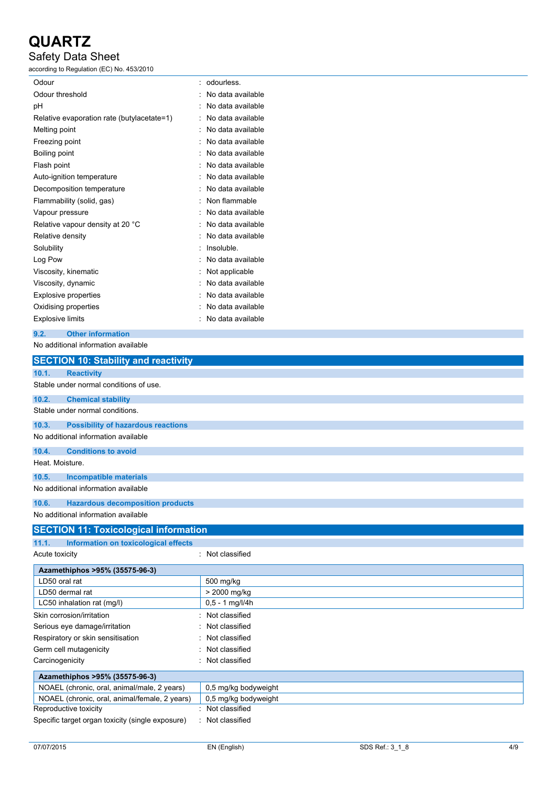## Safety Data Sheet

according to Regulation (EC) No. 453/2010

| Odour                                      |   | odourless.        |
|--------------------------------------------|---|-------------------|
| Odour threshold                            |   | No data available |
| рH                                         |   | No data available |
| Relative evaporation rate (butylacetate=1) |   | No data available |
| Melting point                              |   | No data available |
| Freezing point                             |   | No data available |
| Boiling point                              |   | No data available |
| Flash point                                |   | No data available |
| Auto-ignition temperature                  |   | No data available |
| Decomposition temperature                  |   | No data available |
| Flammability (solid, gas)                  |   | Non flammable     |
| Vapour pressure                            | ٠ | No data available |
| Relative vapour density at 20 °C           |   | No data available |
| Relative density                           |   | No data available |
| Solubility                                 |   | Insoluble.        |
| Log Pow                                    |   | No data available |
| Viscosity, kinematic                       |   | Not applicable    |
| Viscosity, dynamic                         |   | No data available |
| <b>Explosive properties</b>                |   | No data available |
| Oxidising properties                       |   | No data available |
| <b>Explosive limits</b>                    |   | No data available |

### **9.2. Other information**

No additional information available

| <b>SECTION 10: Stability and reactivity</b>        |                      |
|----------------------------------------------------|----------------------|
| 10.1.<br><b>Reactivity</b>                         |                      |
| Stable under normal conditions of use.             |                      |
| 10.2.<br><b>Chemical stability</b>                 |                      |
| Stable under normal conditions.                    |                      |
| 10.3.<br><b>Possibility of hazardous reactions</b> |                      |
| No additional information available                |                      |
| <b>Conditions to avoid</b><br>10.4.                |                      |
| Heat. Moisture.                                    |                      |
| <b>Incompatible materials</b><br>10.5.             |                      |
| No additional information available                |                      |
| <b>Hazardous decomposition products</b><br>10.6.   |                      |
| No additional information available                |                      |
| <b>SECTION 11: Toxicological information</b>       |                      |
| 11.1.<br>Information on toxicological effects      |                      |
| Acute toxicity                                     | Not classified       |
| Azamethiphos >95% (35575-96-3)                     |                      |
| LD50 oral rat                                      | 500 mg/kg            |
| LD50 dermal rat                                    | > 2000 mg/kg         |
| LC50 inhalation rat (mg/l)                         | $0,5 - 1$ mg/l/4h    |
| Skin corrosion/irritation                          | Not classified       |
| Serious eye damage/irritation                      | Not classified       |
| Respiratory or skin sensitisation                  | Not classified       |
| Germ cell mutagenicity                             | Not classified       |
| Carcinogenicity                                    | Not classified       |
| Azamethiphos >95% (35575-96-3)                     |                      |
| NOAEL (chronic, oral, animal/male, 2 years)        | 0,5 mg/kg bodyweight |
| NOAEL (chronic, oral, animal/female, 2 years)      | 0,5 mg/kg bodyweight |
| Reproductive toxicity                              | Not classified       |
| Specific target organ toxicity (single exposure)   | : Not classified     |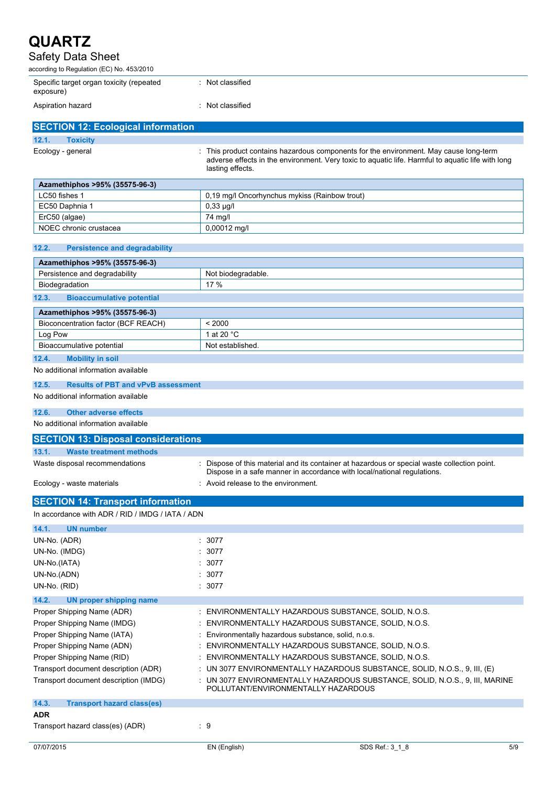## Safety Data Sheet

according to Regulation (EC) No. 453/2010

ErC50 (algae) 74 mg/l

| Specific target organ toxicity (repeated<br>exposure) | Not classified |
|-------------------------------------------------------|----------------|
| Aspiration hazard                                     | Not classified |

| <b>SECTION 12: Ecological information</b> |                                                                                                                                                                                                                |
|-------------------------------------------|----------------------------------------------------------------------------------------------------------------------------------------------------------------------------------------------------------------|
| 12.1.<br><b>Toxicity</b>                  |                                                                                                                                                                                                                |
| Ecology - general                         | : This product contains hazardous components for the environment. May cause long-term<br>adverse effects in the environment. Very toxic to aguatic life. Harmful to aguatic life with long<br>lasting effects. |
| Azamethiphos >95% (35575-96-3)            |                                                                                                                                                                                                                |
| LC50 fishes 1                             | 0.19 mg/l Oncorhynchus mykiss (Rainbow trout)                                                                                                                                                                  |
| EC50 Daphnia 1                            | $0.33 \mu q/l$                                                                                                                                                                                                 |
|                                           |                                                                                                                                                                                                                |

| NOEC chronic crustacea                             | 0,00012 mg/l                                                                                                        |
|----------------------------------------------------|---------------------------------------------------------------------------------------------------------------------|
|                                                    |                                                                                                                     |
| 12.2.<br><b>Persistence and degradability</b>      |                                                                                                                     |
| Azamethiphos >95% (35575-96-3)                     |                                                                                                                     |
| Persistence and degradability                      | Not biodegradable.                                                                                                  |
| Biodegradation                                     | 17%                                                                                                                 |
| 12.3.<br><b>Bioaccumulative potential</b>          |                                                                                                                     |
| Azamethiphos >95% (35575-96-3)                     |                                                                                                                     |
| Bioconcentration factor (BCF REACH)                | < 2000                                                                                                              |
| Log Pow                                            | 1 at 20 °C                                                                                                          |
| Bioaccumulative potential                          | Not established.                                                                                                    |
| 12.4.<br><b>Mobility in soil</b>                   |                                                                                                                     |
| No additional information available                |                                                                                                                     |
| 12.5.<br><b>Results of PBT and vPvB assessment</b> |                                                                                                                     |
| No additional information available                |                                                                                                                     |
| 12.6.<br><b>Other adverse effects</b>              |                                                                                                                     |
| No additional information available                |                                                                                                                     |
| <b>SECTION 13: Disposal considerations</b>         |                                                                                                                     |
| 13.1.<br><b>Waste treatment methods</b>            |                                                                                                                     |
| Waste disposal recommendations                     | : Dispose of this material and its container at hazardous or special waste collection point.                        |
|                                                    | Dispose in a safe manner in accordance with local/national regulations.                                             |
|                                                    |                                                                                                                     |
| Ecology - waste materials                          | : Avoid release to the environment.                                                                                 |
| <b>SECTION 14: Transport information</b>           |                                                                                                                     |
| In accordance with ADR / RID / IMDG / IATA / ADN   |                                                                                                                     |
| 14.1.<br><b>UN number</b>                          |                                                                                                                     |
| UN-No. (ADR)                                       | 3077                                                                                                                |
| UN-No. (IMDG)                                      | 3077                                                                                                                |
| UN-No.(IATA)                                       | 3077                                                                                                                |
|                                                    | 3077                                                                                                                |
| UN-No.(ADN)<br>UN-No. (RID)                        | 3077                                                                                                                |
| 14.2.<br><b>UN proper shipping name</b>            |                                                                                                                     |
| Proper Shipping Name (ADR)                         | ENVIRONMENTALLY HAZARDOUS SUBSTANCE, SOLID, N.O.S.                                                                  |
| Proper Shipping Name (IMDG)                        | ENVIRONMENTALLY HAZARDOUS SUBSTANCE, SOLID, N.O.S.                                                                  |
| Proper Shipping Name (IATA)                        |                                                                                                                     |
| Proper Shipping Name (ADN)                         | Environmentally hazardous substance, solid, n.o.s.<br>ENVIRONMENTALLY HAZARDOUS SUBSTANCE, SOLID, N.O.S.            |
| Proper Shipping Name (RID)                         | ENVIRONMENTALLY HAZARDOUS SUBSTANCE, SOLID, N.O.S.                                                                  |
| Transport document description (ADR)               | UN 3077 ENVIRONMENTALLY HAZARDOUS SUBSTANCE, SOLID, N.O.S., 9, III, (E)                                             |
| Transport document description (IMDG)              | : UN 3077 ENVIRONMENTALLY HAZARDOUS SUBSTANCE, SOLID, N.O.S., 9, III, MARINE<br>POLLUTANT/ENVIRONMENTALLY HAZARDOUS |
|                                                    |                                                                                                                     |
| 14.3.<br><b>Transport hazard class(es)</b><br>ADR  |                                                                                                                     |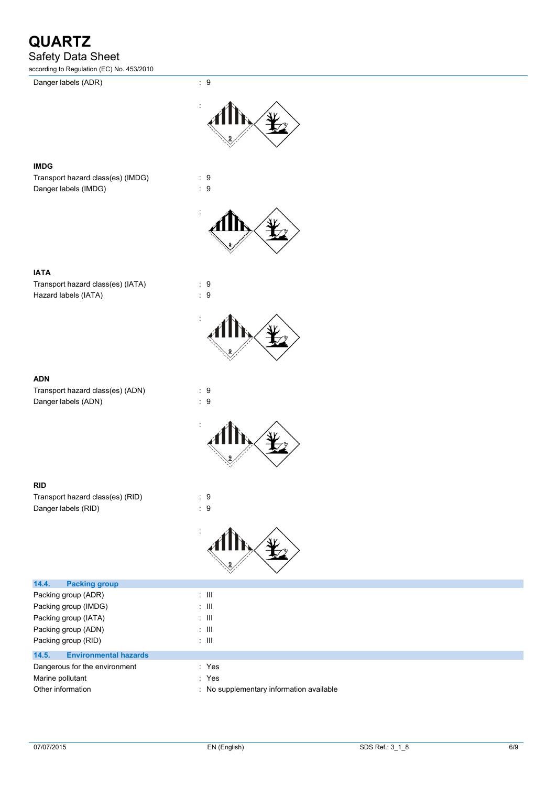Safety Data Sheet

according to Regulation (EC) No. 453/2010

Danger labels (ADR) : 9

:



### **IMDG**

Transport hazard class(es) (IMDG) : 9 Danger labels (IMDG)  $\qquad \qquad$  : 9



### **IATA**

Transport hazard class(es) (IATA) : 9 Hazard labels (IATA) : 9

### **ADN**

Transport hazard class(es) (ADN) : 9 Danger labels (ADN) 32 and 32 and 32 and 33 and 33 and 34 and 35 and 36 and 36 and 36 and 36 and 36 and 36 and 36 and 36 and 36 and 36 and 37 and 37 and 37 and 37 and 37 and 37 and 37 and 37 and 37 and 37 and 37 and 37 and



### **RID**

Transport hazard class(es) (RID) : 9 Danger labels (RID) : 9



| 14.4.<br><b>Packing group</b>         |                                          |
|---------------------------------------|------------------------------------------|
| Packing group (ADR)                   | : III                                    |
| Packing group (IMDG)                  | : III                                    |
| Packing group (IATA)                  | : III                                    |
| Packing group (ADN)                   | : III                                    |
| Packing group (RID)                   | : III                                    |
| 14.5.<br><b>Environmental hazards</b> |                                          |
| Dangerous for the environment         | : Yes                                    |
| Marine pollutant                      | : Yes                                    |
| Other information                     | : No supplementary information available |
|                                       |                                          |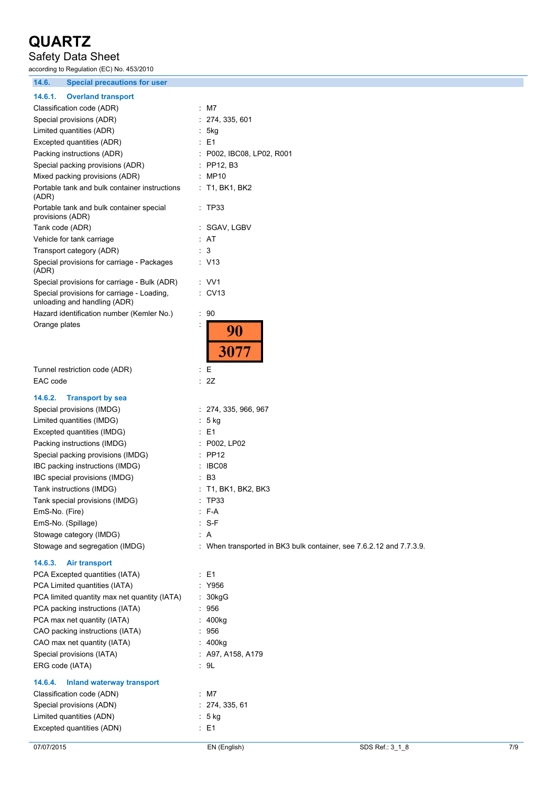# Safety Data Sheet

according to Regulation (EC) No. 453/2010

**14.6. Special precautions for user**

| 17.9<br><b>Opecial proceduoirs for user</b>                                |                                                                     |
|----------------------------------------------------------------------------|---------------------------------------------------------------------|
| 14.6.1.<br><b>Overland transport</b>                                       |                                                                     |
| Classification code (ADR)                                                  | : M7                                                                |
| Special provisions (ADR)                                                   | 274, 335, 601                                                       |
| Limited quantities (ADR)                                                   | 5kg                                                                 |
| Excepted quantities (ADR)                                                  | : E1                                                                |
| Packing instructions (ADR)                                                 | : P002, IBC08, LP02, R001                                           |
| Special packing provisions (ADR)                                           | : PP12, B3                                                          |
| Mixed packing provisions (ADR)                                             | : MP10                                                              |
| Portable tank and bulk container instructions<br>(ADR)                     | $:$ T1, BK1, BK2                                                    |
| Portable tank and bulk container special<br>provisions (ADR)               | $:$ TP33                                                            |
| Tank code (ADR)                                                            | : SGAV, LGBV                                                        |
| Vehicle for tank carriage                                                  | : AT                                                                |
| Transport category (ADR)                                                   | : 3                                                                 |
| Special provisions for carriage - Packages<br>(ADR)                        | : V13                                                               |
| Special provisions for carriage - Bulk (ADR)                               | : VV1                                                               |
| Special provisions for carriage - Loading,<br>unloading and handling (ADR) | : CV13                                                              |
| Hazard identification number (Kemler No.)                                  | : 90                                                                |
| Orange plates                                                              | 90<br>3077                                                          |
| Tunnel restriction code (ADR)                                              | : E                                                                 |
| EAC code                                                                   | : 2Z                                                                |
| 14.6.2.<br><b>Transport by sea</b>                                         |                                                                     |
| Special provisions (IMDG)                                                  | : 274, 335, 966, 967                                                |
| Limited quantities (IMDG)                                                  | : 5 kg                                                              |
| Excepted quantities (IMDG)                                                 | : E1                                                                |
| Packing instructions (IMDG)                                                | : P002, LP02                                                        |
| Special packing provisions (IMDG)                                          | $:$ PP12                                                            |
| IBC packing instructions (IMDG)                                            | : IBC08                                                             |
| IBC special provisions (IMDG)                                              | : B3                                                                |
| Tank instructions (IMDG)                                                   | : T1, BK1, BK2, BK3                                                 |
| Tank special provisions (IMDG)                                             | : TP33                                                              |
| EmS-No. (Fire)                                                             | $:$ F-A                                                             |
| EmS-No. (Spillage)                                                         | $: S-F$                                                             |
| Stowage category (IMDG)                                                    | : A                                                                 |
| Stowage and segregation (IMDG)                                             | : When transported in BK3 bulk container, see 7.6.2.12 and 7.7.3.9. |
| 14.6.3.<br><b>Air transport</b>                                            |                                                                     |
| PCA Excepted quantities (IATA)                                             | : E1                                                                |
| PCA Limited quantities (IATA)                                              | $\cdot$ Y956                                                        |
| PCA limited quantity max net quantity (IATA)                               | : 30kgG                                                             |
| PCA packing instructions (IATA)                                            | : 956                                                               |
| PCA max net quantity (IATA)                                                | : 400kg                                                             |
| CAO packing instructions (IATA)                                            | : 956                                                               |
| CAO max net quantity (IATA)                                                | : 400kg                                                             |
| Special provisions (IATA)                                                  | : A97, A158, A179                                                   |
| ERG code (IATA)                                                            | : 9L                                                                |
| <b>Inland waterway transport</b><br>14.6.4.                                |                                                                     |
| Classification code (ADN)                                                  | : M7                                                                |
| Special provisions (ADN)                                                   | : 274, 335, 61                                                      |
| Limited quantities (ADN)                                                   | : 5 kg                                                              |
| Excepted quantities (ADN)                                                  | : E1                                                                |
|                                                                            |                                                                     |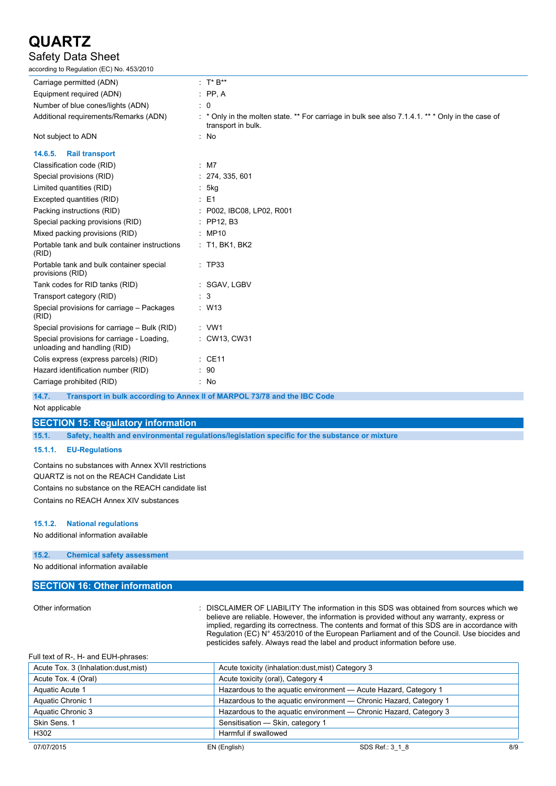## Safety Data Sheet

according to Regulation (EC) No. 453/2010

| Carriage permitted (ADN)                                                   | : $T^* B^{**}$                                                                                                         |
|----------------------------------------------------------------------------|------------------------------------------------------------------------------------------------------------------------|
| Equipment required (ADN)                                                   | $:$ PP, A                                                                                                              |
| Number of blue cones/lights (ADN)                                          | $\therefore$ 0                                                                                                         |
| Additional requirements/Remarks (ADN)                                      | * * Only in the molten state. ** For carriage in bulk see also 7.1.4.1. ** * Only in the case of<br>transport in bulk. |
| Not subject to ADN                                                         | No                                                                                                                     |
| 14.6.5.<br><b>Rail transport</b>                                           |                                                                                                                        |
| Classification code (RID)                                                  | $:$ M7                                                                                                                 |
| Special provisions (RID)                                                   | 274, 335, 601                                                                                                          |
| Limited quantities (RID)                                                   | 5kg                                                                                                                    |
| Excepted quantities (RID)                                                  | $\therefore$ E1                                                                                                        |
| Packing instructions (RID)                                                 | P002, IBC08, LP02, R001                                                                                                |
| Special packing provisions (RID)                                           | $:$ PP12, B3                                                                                                           |
| Mixed packing provisions (RID)                                             | : MP10                                                                                                                 |
| Portable tank and bulk container instructions<br>(RID)                     | $:$ T1, BK1, BK2                                                                                                       |
| Portable tank and bulk container special<br>provisions (RID)               | : TP33                                                                                                                 |
| Tank codes for RID tanks (RID)                                             | : SGAV, LGBV                                                                                                           |
| Transport category (RID)                                                   | 3                                                                                                                      |
| Special provisions for carriage - Packages<br>(RID)                        | : W13                                                                                                                  |
| Special provisions for carriage - Bulk (RID)                               | $:$ VW1                                                                                                                |
| Special provisions for carriage - Loading,<br>unloading and handling (RID) | : CW13, CW31                                                                                                           |
| Colis express (express parcels) (RID)                                      | $\therefore$ CE11                                                                                                      |
| Hazard identification number (RID)                                         | $\therefore$ 90                                                                                                        |
| Carriage prohibited (RID)                                                  | : No                                                                                                                   |
|                                                                            |                                                                                                                        |

**14.7. Transport in bulk according to Annex II of MARPOL 73/78 and the IBC Code**

Not applicable

**SECTION 15: Regulatory information**

**15.1. Safety, health and environmental regulations/legislation specific for the substance or mixture**

#### **15.1.1. EU-Regulations**

Contains no substances with Annex XVII restrictions QUARTZ is not on the REACH Candidate List Contains no substance on the REACH candidate list Contains no REACH Annex XIV substances

#### **15.1.2. National regulations**

No additional information available

## **15.2. Chemical safety assessment**

No additional information available

### **SECTION 16: Other information**

Other information **interest in the information** in this SDS was obtained from sources which we believe are reliable. However, the information is provided without any warranty, express or implied, regarding its correctness. The contents and format of this SDS are in accordance with Regulation (EC) N° 453/2010 of the European Parliament and of the Council. Use biocides and pesticides safely. Always read the label and product information before use.

| Full text of R-, H- and EUH-phrases: |                                                   |                                                                   |     |
|--------------------------------------|---------------------------------------------------|-------------------------------------------------------------------|-----|
| Acute Tox. 3 (Inhalation:dust.mist)  | Acute toxicity (inhalation:dust, mist) Category 3 |                                                                   |     |
| Acute Tox. 4 (Oral)                  | Acute toxicity (oral), Category 4                 |                                                                   |     |
| Aquatic Acute 1                      |                                                   | Hazardous to the aquatic environment - Acute Hazard, Category 1   |     |
| Aquatic Chronic 1                    |                                                   | Hazardous to the aquatic environment - Chronic Hazard, Category 1 |     |
| Aquatic Chronic 3                    |                                                   | Hazardous to the aquatic environment - Chronic Hazard, Category 3 |     |
| Skin Sens. 1                         | Sensitisation - Skin, category 1                  |                                                                   |     |
| H302                                 | Harmful if swallowed                              |                                                                   |     |
| 07/07/2015                           | EN (English)                                      | SDS Ref.: 3 1 8                                                   | 8/9 |